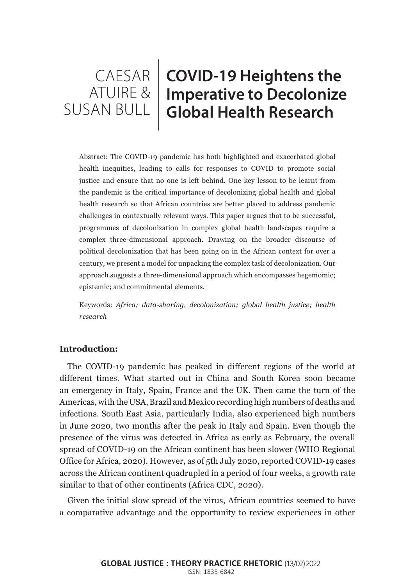**COVID-19 Heightens the Imperative to Decolonize Global Health Research** CAESAR ATUIRE & SUSAN BULL

Abstract: The COVID-19 pandemic has both highlighted and exacerbated global health inequities, leading to calls for responses to COVID to promote social justice and ensure that no one is left behind. One key lesson to be learnt from the pandemic is the critical importance of decolonizing global health and global health research so that African countries are better placed to address pandemic challenges in contextually relevant ways. This paper argues that to be successful, programmes of decolonization in complex global health landscapes require a complex three-dimensional approach. Drawing on the broader discourse of political decolonization that has been going on in the African context for over a century, we present a model for unpacking the complex task of decolonization. Our approach suggests a three-dimensional approach which encompasses hegemomic; epistemic; and commitmental elements.

Keywords: *Africa; data-sharing, decolonization; global health justice; health research*

# **Introduction:**

The COVID-19 pandemic has peaked in different regions of the world at different times. What started out in China and South Korea soon became an emergency in Italy, Spain, France and the UK. Then came the turn of the Americas, with the USA, Brazil and Mexico recording high numbers of deaths and infections. South East Asia, particularly India, also experienced high numbers in June 2020, two months after the peak in Italy and Spain. Even though the presence of the virus was detected in Africa as early as February, the overall spread of COVID-19 on the African continent has been slower (WHO Regional Office for Africa, 2020). However, as of 5th July 2020, reported COVID-19 cases across the African continent quadrupled in a period of four weeks, a growth rate similar to that of other continents (Africa CDC, 2020).

Given the initial slow spread of the virus, African countries seemed to have a comparative advantage and the opportunity to review experiences in other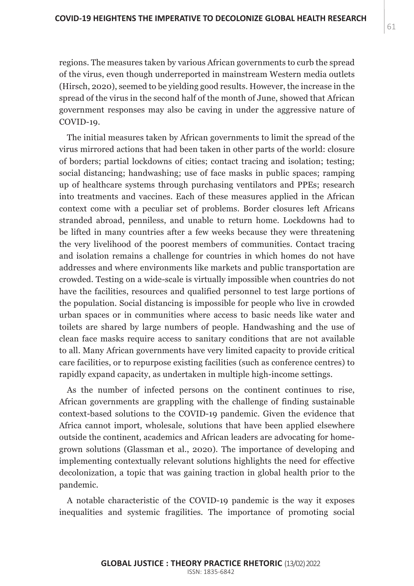regions. The measures taken by various African governments to curb the spread of the virus, even though underreported in mainstream Western media outlets (Hirsch, 2020), seemed to be yielding good results. However, the increase in the spread of the virus in the second half of the month of June, showed that African government responses may also be caving in under the aggressive nature of COVID-19.

The initial measures taken by African governments to limit the spread of the virus mirrored actions that had been taken in other parts of the world: closure of borders; partial lockdowns of cities; contact tracing and isolation; testing; social distancing; handwashing; use of face masks in public spaces; ramping up of healthcare systems through purchasing ventilators and PPEs; research into treatments and vaccines. Each of these measures applied in the African context come with a peculiar set of problems. Border closures left Africans stranded abroad, penniless, and unable to return home. Lockdowns had to be lifted in many countries after a few weeks because they were threatening the very livelihood of the poorest members of communities. Contact tracing and isolation remains a challenge for countries in which homes do not have addresses and where environments like markets and public transportation are crowded. Testing on a wide-scale is virtually impossible when countries do not have the facilities, resources and qualified personnel to test large portions of the population. Social distancing is impossible for people who live in crowded urban spaces or in communities where access to basic needs like water and toilets are shared by large numbers of people. Handwashing and the use of clean face masks require access to sanitary conditions that are not available to all. Many African governments have very limited capacity to provide critical care facilities, or to repurpose existing facilities (such as conference centres) to rapidly expand capacity, as undertaken in multiple high-income settings.

As the number of infected persons on the continent continues to rise, African governments are grappling with the challenge of finding sustainable context-based solutions to the COVID-19 pandemic. Given the evidence that Africa cannot import, wholesale, solutions that have been applied elsewhere outside the continent, academics and African leaders are advocating for homegrown solutions (Glassman et al., 2020). The importance of developing and implementing contextually relevant solutions highlights the need for effective decolonization, a topic that was gaining traction in global health prior to the pandemic.

A notable characteristic of the COVID-19 pandemic is the way it exposes inequalities and systemic fragilities. The importance of promoting social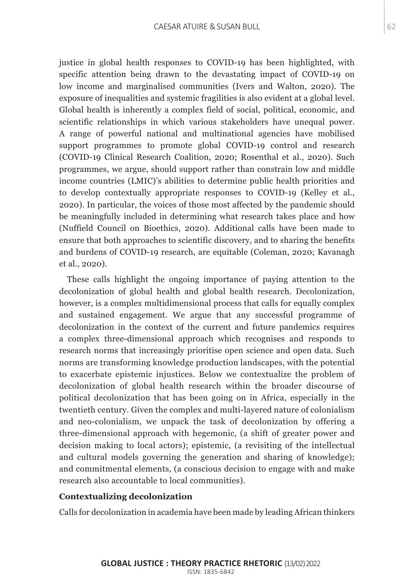justice in global health responses to COVID-19 has been highlighted, with specific attention being drawn to the devastating impact of COVID-19 on low income and marginalised communities (Ivers and Walton, 2020). The exposure of inequalities and systemic fragilities is also evident at a global level. Global health is inherently a complex field of social, political, economic, and scientific relationships in which various stakeholders have unequal power. A range of powerful national and multinational agencies have mobilised support programmes to promote global COVID-19 control and research (COVID-19 Clinical Research Coalition, 2020; Rosenthal et al., 2020). Such programmes, we argue, should support rather than constrain low and middle income countries (LMIC)'s abilities to determine public health priorities and to develop contextually appropriate responses to COVID-19 (Kelley et al., 2020). In particular, the voices of those most affected by the pandemic should be meaningfully included in determining what research takes place and how (Nuffield Council on Bioethics, 2020). Additional calls have been made to ensure that both approaches to scientific discovery, and to sharing the benefits and burdens of COVID-19 research, are equitable (Coleman, 2020; Kavanagh et al., 2020).

These calls highlight the ongoing importance of paying attention to the decolonization of global health and global health research. Decolonization, however, is a complex multidimensional process that calls for equally complex and sustained engagement. We argue that any successful programme of decolonization in the context of the current and future pandemics requires a complex three-dimensional approach which recognises and responds to research norms that increasingly prioritise open science and open data. Such norms are transforming knowledge production landscapes, with the potential to exacerbate epistemic injustices. Below we contextualize the problem of decolonization of global health research within the broader discourse of political decolonization that has been going on in Africa, especially in the twentieth century. Given the complex and multi-layered nature of colonialism and neo-colonialism, we unpack the task of decolonization by offering a three-dimensional approach with hegemonic, (a shift of greater power and decision making to local actors); epistemic, (a revisiting of the intellectual and cultural models governing the generation and sharing of knowledge); and commitmental elements, (a conscious decision to engage with and make research also accountable to local communities).

# **Contextualizing decolonization**

Calls for decolonization in academia have been made by leading African thinkers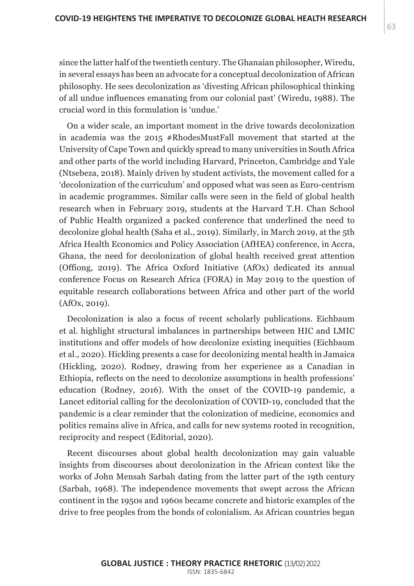since the latter half of the twentieth century. The Ghanaian philosopher, Wiredu, in several essays has been an advocate for a conceptual decolonization of African philosophy. He sees decolonization as 'divesting African philosophical thinking of all undue influences emanating from our colonial past' (Wiredu, 1988). The crucial word in this formulation is 'undue.'

On a wider scale, an important moment in the drive towards decolonization in academia was the 2015 #RhodesMustFall movement that started at the University of Cape Town and quickly spread to many universities in South Africa and other parts of the world including Harvard, Princeton, Cambridge and Yale (Ntsebeza, 2018). Mainly driven by student activists, the movement called for a 'decolonization of the curriculum' and opposed what was seen as Euro-centrism in academic programmes. Similar calls were seen in the field of global health research when in February 2019, students at the Harvard T.H. Chan School of Public Health organized a packed conference that underlined the need to decolonize global health (Saha et al., 2019). Similarly, in March 2019, at the 5th Africa Health Economics and Policy Association (AfHEA) conference, in Accra, Ghana, the need for decolonization of global health received great attention (Offiong, 2019). The Africa Oxford Initiative (AfOx) dedicated its annual conference Focus on Research Africa (FORA) in May 2019 to the question of equitable research collaborations between Africa and other part of the world (AfOx, 2019).

Decolonization is also a focus of recent scholarly publications. Eichbaum et al. highlight structural imbalances in partnerships between HIC and LMIC institutions and offer models of how decolonize existing inequities (Eichbaum et al., 2020). Hickling presents a case for decolonizing mental health in Jamaica (Hickling, 2020). Rodney, drawing from her experience as a Canadian in Ethiopia, reflects on the need to decolonize assumptions in health professions' education (Rodney, 2016). With the onset of the COVID-19 pandemic, a Lancet editorial calling for the decolonization of COVID-19, concluded that the pandemic is a clear reminder that the colonization of medicine, economics and politics remains alive in Africa, and calls for new systems rooted in recognition, reciprocity and respect (Editorial, 2020).

Recent discourses about global health decolonization may gain valuable insights from discourses about decolonization in the African context like the works of John Mensah Sarbah dating from the latter part of the 19th century (Sarbah, 1968). The independence movements that swept across the African continent in the 1950s and 1960s became concrete and historic examples of the drive to free peoples from the bonds of colonialism. As African countries began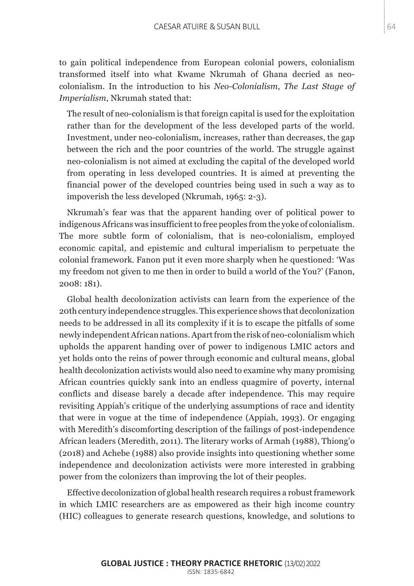to gain political independence from European colonial powers, colonialism transformed itself into what Kwame Nkrumah of Ghana decried as neocolonialism. In the introduction to his *Neo-Colonialism*, *The Last Stage of Imperialism*, Nkrumah stated that:

The result of neo-colonialism is that foreign capital is used for the exploitation rather than for the development of the less developed parts of the world. Investment, under neo-colonialism, increases, rather than decreases, the gap between the rich and the poor countries of the world. The struggle against neo-colonialism is not aimed at excluding the capital of the developed world from operating in less developed countries. It is aimed at preventing the financial power of the developed countries being used in such a way as to impoverish the less developed (Nkrumah, 1965: 2-3).

Nkrumah's fear was that the apparent handing over of political power to indigenous Africans was insufficient to free peoples from the yoke of colonialism. The more subtle form of colonialism, that is neo-colonialism, employed economic capital, and epistemic and cultural imperialism to perpetuate the colonial framework. Fanon put it even more sharply when he questioned: 'Was my freedom not given to me then in order to build a world of the You?' (Fanon, 2008: 181).

Global health decolonization activists can learn from the experience of the 20th century independence struggles. This experience shows that decolonization needs to be addressed in all its complexity if it is to escape the pitfalls of some newly independent African nations. Apart from the risk of neo-colonialism which upholds the apparent handing over of power to indigenous LMIC actors and yet holds onto the reins of power through economic and cultural means, global health decolonization activists would also need to examine why many promising African countries quickly sank into an endless quagmire of poverty, internal conflicts and disease barely a decade after independence. This may require revisiting Appiah's critique of the underlying assumptions of race and identity that were in vogue at the time of independence (Appiah, 1993). Or engaging with Meredith's discomforting description of the failings of post-independence African leaders (Meredith, 2011). The literary works of Armah (1988), Thiong'o (2018) and Achebe (1988) also provide insights into questioning whether some independence and decolonization activists were more interested in grabbing power from the colonizers than improving the lot of their peoples.

Effective decolonization of global health research requires a robust framework in which LMIC researchers are as empowered as their high income country (HIC) colleagues to generate research questions, knowledge, and solutions to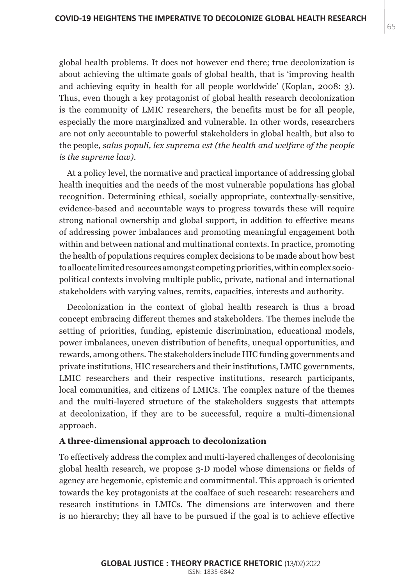global health problems. It does not however end there; true decolonization is about achieving the ultimate goals of global health, that is 'improving health and achieving equity in health for all people worldwide' (Koplan, 2008: 3). Thus, even though a key protagonist of global health research decolonization is the community of LMIC researchers, the benefits must be for all people, especially the more marginalized and vulnerable. In other words, researchers are not only accountable to powerful stakeholders in global health, but also to the people, *salus populi, lex suprema est (the health and welfare of the people is the supreme law).*

At a policy level, the normative and practical importance of addressing global health inequities and the needs of the most vulnerable populations has global recognition. Determining ethical, socially appropriate, contextually-sensitive, evidence-based and accountable ways to progress towards these will require strong national ownership and global support, in addition to effective means of addressing power imbalances and promoting meaningful engagement both within and between national and multinational contexts. In practice, promoting the health of populations requires complex decisions to be made about how best to allocate limited resources amongst competing priorities, within complex sociopolitical contexts involving multiple public, private, national and international stakeholders with varying values, remits, capacities, interests and authority.

Decolonization in the context of global health research is thus a broad concept embracing different themes and stakeholders. The themes include the setting of priorities, funding, epistemic discrimination, educational models, power imbalances, uneven distribution of benefits, unequal opportunities, and rewards, among others. The stakeholders include HIC funding governments and private institutions, HIC researchers and their institutions, LMIC governments, LMIC researchers and their respective institutions, research participants, local communities, and citizens of LMICs. The complex nature of the themes and the multi-layered structure of the stakeholders suggests that attempts at decolonization, if they are to be successful, require a multi-dimensional approach.

#### **A three-dimensional approach to decolonization**

To effectively address the complex and multi-layered challenges of decolonising global health research, we propose 3-D model whose dimensions or fields of agency are hegemonic, epistemic and commitmental. This approach is oriented towards the key protagonists at the coalface of such research: researchers and research institutions in LMICs. The dimensions are interwoven and there is no hierarchy; they all have to be pursued if the goal is to achieve effective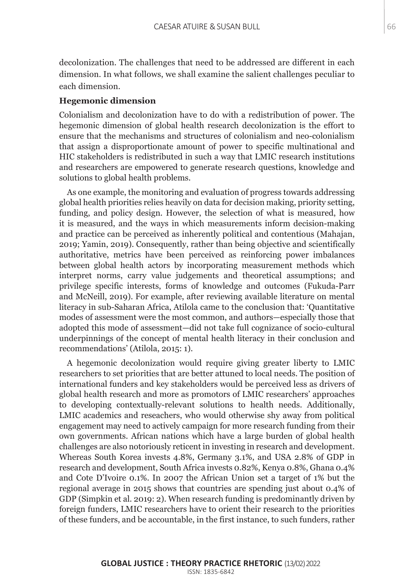decolonization. The challenges that need to be addressed are different in each dimension. In what follows, we shall examine the salient challenges peculiar to each dimension.

# **Hegemonic dimension**

Colonialism and decolonization have to do with a redistribution of power. The hegemonic dimension of global health research decolonization is the effort to ensure that the mechanisms and structures of colonialism and neo-colonialism that assign a disproportionate amount of power to specific multinational and HIC stakeholders is redistributed in such a way that LMIC research institutions and researchers are empowered to generate research questions, knowledge and solutions to global health problems.

As one example, the monitoring and evaluation of progress towards addressing global health priorities relies heavily on data for decision making, priority setting, funding, and policy design. However, the selection of what is measured, how it is measured, and the ways in which measurements inform decision-making and practice can be perceived as inherently political and contentious (Mahajan, 2019; Yamin, 2019). Consequently, rather than being objective and scientifically authoritative, metrics have been perceived as reinforcing power imbalances between global health actors by incorporating measurement methods which interpret norms, carry value judgements and theoretical assumptions; and privilege specific interests, forms of knowledge and outcomes (Fukuda-Parr and McNeill, 2019). For example, after reviewing available literature on mental literacy in sub-Saharan Africa, Atilola came to the conclusion that: 'Quantitative modes of assessment were the most common, and authors—especially those that adopted this mode of assessment—did not take full cognizance of socio-cultural underpinnings of the concept of mental health literacy in their conclusion and recommendations' (Atilola, 2015: 1).

A hegemonic decolonization would require giving greater liberty to LMIC researchers to set priorities that are better attuned to local needs. The position of international funders and key stakeholders would be perceived less as drivers of global health research and more as promotors of LMIC researchers' approaches to developing contextually-relevant solutions to health needs. Additionally, LMIC academics and reseachers, who would otherwise shy away from political engagement may need to actively campaign for more research funding from their own governments. African nations which have a large burden of global health challenges are also notoriously reticent in investing in research and development. Whereas South Korea invests 4.8%, Germany 3.1%, and USA 2.8% of GDP in research and development, South Africa invests 0.82%, Kenya 0.8%, Ghana 0.4% and Cote D'Ivoire 0.1%. In 2007 the African Union set a target of 1% but the regional average in 2015 shows that countries are spending just about 0.4% of GDP (Simpkin et al. 2019: 2). When research funding is predominantly driven by foreign funders, LMIC researchers have to orient their research to the priorities of these funders, and be accountable, in the first instance, to such funders, rather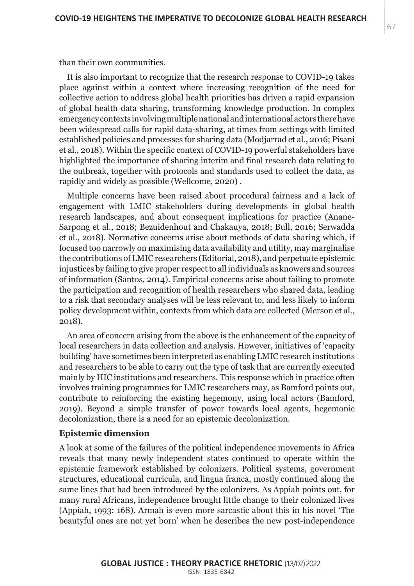than their own communities.

It is also important to recognize that the research response to COVID-19 takes place against within a context where increasing recognition of the need for collective action to address global health priorities has driven a rapid expansion of global health data sharing, transforming knowledge production. In complex emergency contexts involving multiple national and international actors there have been widespread calls for rapid data-sharing, at times from settings with limited established policies and processes for sharing data (Modjarrad et al., 2016; Pisani et al., 2018). Within the specific context of COVID-19 powerful stakeholders have highlighted the importance of sharing interim and final research data relating to the outbreak, together with protocols and standards used to collect the data, as rapidly and widely as possible (Wellcome, 2020) .

Multiple concerns have been raised about procedural fairness and a lack of engagement with LMIC stakeholders during developments in global health research landscapes, and about consequent implications for practice (Anane-Sarpong et al., 2018; Bezuidenhout and Chakauya, 2018; Bull, 2016; Serwadda et al., 2018). Normative concerns arise about methods of data sharing which, if focused too narrowly on maximising data availability and utility, may marginalise the contributions of LMIC researchers (Editorial, 2018), and perpetuate epistemic injustices by failing to give proper respect to all individuals as knowers and sources of information (Santos, 2014). Empirical concerns arise about failing to promote the participation and recognition of health researchers who shared data, leading to a risk that secondary analyses will be less relevant to, and less likely to inform policy development within, contexts from which data are collected (Merson et al., 2018).

An area of concern arising from the above is the enhancement of the capacity of local researchers in data collection and analysis. However, initiatives of 'capacity building' have sometimes been interpreted as enabling LMIC research institutions and researchers to be able to carry out the type of task that are currently executed mainly by HIC institutions and researchers. This response which in practice often involves training programmes for LMIC researchers may, as Bamford points out, contribute to reinforcing the existing hegemony, using local actors (Bamford, 2019). Beyond a simple transfer of power towards local agents, hegemonic decolonization, there is a need for an epistemic decolonization.

#### **Epistemic dimension**

A look at some of the failures of the political independence movements in Africa reveals that many newly independent states continued to operate within the epistemic framework established by colonizers. Political systems, government structures, educational curricula, and lingua franca, mostly continued along the same lines that had been introduced by the colonizers. As Appiah points out, for many rural Africans, independence brought little change to their colonized lives (Appiah, 1993: 168). Armah is even more sarcastic about this in his novel 'The beautyful ones are not yet born' when he describes the new post-independence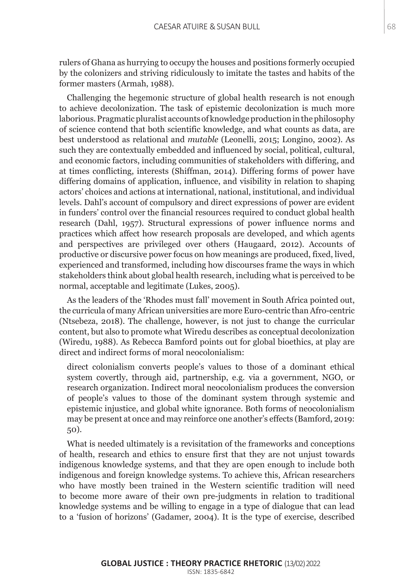rulers of Ghana as hurrying to occupy the houses and positions formerly occupied by the colonizers and striving ridiculously to imitate the tastes and habits of the former masters (Armah, 1988).

Challenging the hegemonic structure of global health research is not enough to achieve decolonization. The task of epistemic decolonization is much more laborious. Pragmatic pluralist accounts of knowledge production in the philosophy of science contend that both scientific knowledge, and what counts as data, are best understood as relational and *mutable* (Leonelli, 2015; Longino, 2002). As such they are contextually embedded and influenced by social, political, cultural, and economic factors, including communities of stakeholders with differing, and at times conflicting, interests (Shiffman, 2014). Differing forms of power have differing domains of application, influence, and visibility in relation to shaping actors' choices and actions at international, national, institutional, and individual levels. Dahl's account of compulsory and direct expressions of power are evident in funders' control over the financial resources required to conduct global health research (Dahl, 1957). Structural expressions of power influence norms and practices which affect how research proposals are developed, and which agents and perspectives are privileged over others (Haugaard, 2012). Accounts of productive or discursive power focus on how meanings are produced, fixed, lived, experienced and transformed, including how discourses frame the ways in which stakeholders think about global health research, including what is perceived to be normal, acceptable and legitimate (Lukes, 2005).

As the leaders of the 'Rhodes must fall' movement in South Africa pointed out, the curricula of many African universities are more Euro-centric than Afro-centric (Ntsebeza, 2018). The challenge, however, is not just to change the curricular content, but also to promote what Wiredu describes as conceptual decolonization (Wiredu, 1988). As Rebecca Bamford points out for global bioethics, at play are direct and indirect forms of moral neocolonialism:

direct colonialism converts people's values to those of a dominant ethical system covertly, through aid, partnership, e.g. via a government, NGO, or research organization. Indirect moral neocolonialism produces the conversion of people's values to those of the dominant system through systemic and epistemic injustice, and global white ignorance. Both forms of neocolonialism may be present at once and may reinforce one another's effects (Bamford, 2019: 50).

What is needed ultimately is a revisitation of the frameworks and conceptions of health, research and ethics to ensure first that they are not unjust towards indigenous knowledge systems, and that they are open enough to include both indigenous and foreign knowledge systems. To achieve this, African researchers who have mostly been trained in the Western scientific tradition will need to become more aware of their own pre-judgments in relation to traditional knowledge systems and be willing to engage in a type of dialogue that can lead to a 'fusion of horizons' (Gadamer, 2004). It is the type of exercise, described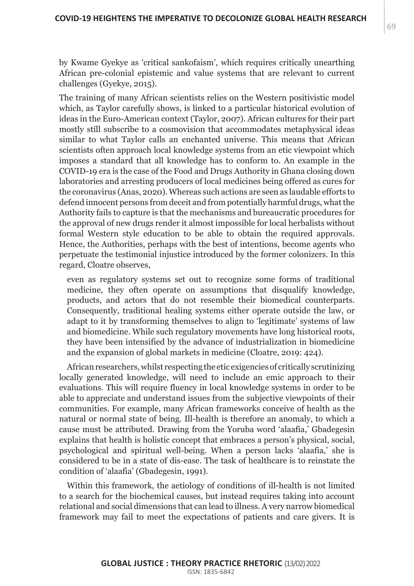by Kwame Gyekye as 'critical sankofaism', which requires critically unearthing African pre-colonial epistemic and value systems that are relevant to current challenges (Gyekye, 2015).

The training of many African scientists relies on the Western positivistic model which, as Taylor carefully shows, is linked to a particular historical evolution of ideas in the Euro-American context (Taylor, 2007). African cultures for their part mostly still subscribe to a cosmovision that accommodates metaphysical ideas similar to what Taylor calls an enchanted universe. This means that African scientists often approach local knowledge systems from an etic viewpoint which imposes a standard that all knowledge has to conform to. An example in the COVID-19 era is the case of the Food and Drugs Authority in Ghana closing down laboratories and arresting producers of local medicines being offered as cures for the coronavirus (Anas, 2020). Whereas such actions are seen as laudable efforts to defend innocent persons from deceit and from potentially harmful drugs, what the Authority fails to capture is that the mechanisms and bureaucratic procedures for the approval of new drugs render it almost impossible for local herbalists without formal Western style education to be able to obtain the required approvals. Hence, the Authorities, perhaps with the best of intentions, become agents who perpetuate the testimonial injustice introduced by the former colonizers. In this regard, Cloatre observes,

even as regulatory systems set out to recognize some forms of traditional medicine, they often operate on assumptions that disqualify knowledge, products, and actors that do not resemble their biomedical counterparts. Consequently, traditional healing systems either operate outside the law, or adapt to it by transforming themselves to align to 'legitimate' systems of law and biomedicine. While such regulatory movements have long historical roots, they have been intensified by the advance of industrialization in biomedicine and the expansion of global markets in medicine (Cloatre, 2019: 424).

African researchers, whilst respecting the etic exigencies of critically scrutinizing locally generated knowledge, will need to include an emic approach to their evaluations. This will require fluency in local knowledge systems in order to be able to appreciate and understand issues from the subjective viewpoints of their communities. For example, many African frameworks conceive of health as the natural or normal state of being. Ill-health is therefore an anomaly, to which a cause must be attributed. Drawing from the Yoruba word 'alaafia,' Gbadegesin explains that health is holistic concept that embraces a person's physical, social, psychological and spiritual well-being. When a person lacks 'alaafia,' she is considered to be in a state of dis-ease. The task of healthcare is to reinstate the condition of 'alaafia' (Gbadegesin, 1991).

Within this framework, the aetiology of conditions of ill-health is not limited to a search for the biochemical causes, but instead requires taking into account relational and social dimensions that can lead to illness. A very narrow biomedical framework may fail to meet the expectations of patients and care givers. It is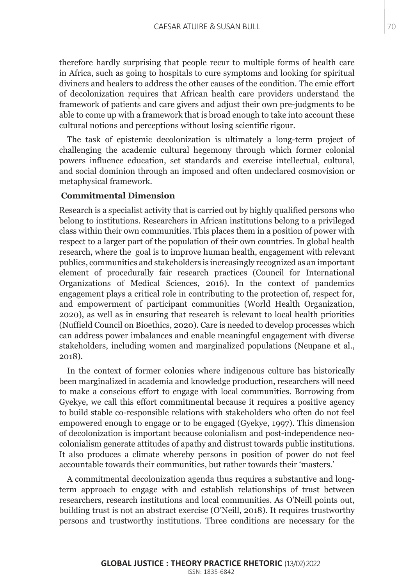therefore hardly surprising that people recur to multiple forms of health care in Africa, such as going to hospitals to cure symptoms and looking for spiritual diviners and healers to address the other causes of the condition. The emic effort of decolonization requires that African health care providers understand the framework of patients and care givers and adjust their own pre-judgments to be able to come up with a framework that is broad enough to take into account these cultural notions and perceptions without losing scientific rigour.

The task of epistemic decolonization is ultimately a long-term project of challenging the academic cultural hegemony through which former colonial powers influence education, set standards and exercise intellectual, cultural, and social dominion through an imposed and often undeclared cosmovision or metaphysical framework.

# **Commitmental Dimension**

Research is a specialist activity that is carried out by highly qualified persons who belong to institutions. Researchers in African institutions belong to a privileged class within their own communities. This places them in a position of power with respect to a larger part of the population of their own countries. In global health research, where the goal is to improve human health, engagement with relevant publics, communities and stakeholders is increasingly recognized as an important element of procedurally fair research practices (Council for International Organizations of Medical Sciences, 2016). In the context of pandemics engagement plays a critical role in contributing to the protection of, respect for, and empowerment of participant communities (World Health Organization, 2020), as well as in ensuring that research is relevant to local health priorities (Nuffield Council on Bioethics, 2020). Care is needed to develop processes which can address power imbalances and enable meaningful engagement with diverse stakeholders, including women and marginalized populations (Neupane et al., 2018).

In the context of former colonies where indigenous culture has historically been marginalized in academia and knowledge production, researchers will need to make a conscious effort to engage with local communities. Borrowing from Gyekye, we call this effort commitmental because it requires a positive agency to build stable co-responsible relations with stakeholders who often do not feel empowered enough to engage or to be engaged (Gyekye, 1997). This dimension of decolonization is important because colonialism and post-independence neocolonialism generate attitudes of apathy and distrust towards public institutions. It also produces a climate whereby persons in position of power do not feel accountable towards their communities, but rather towards their 'masters.'

A commitmental decolonization agenda thus requires a substantive and longterm approach to engage with and establish relationships of trust between researchers, research institutions and local communities. As O'Neill points out, building trust is not an abstract exercise (O'Neill, 2018). It requires trustworthy persons and trustworthy institutions. Three conditions are necessary for the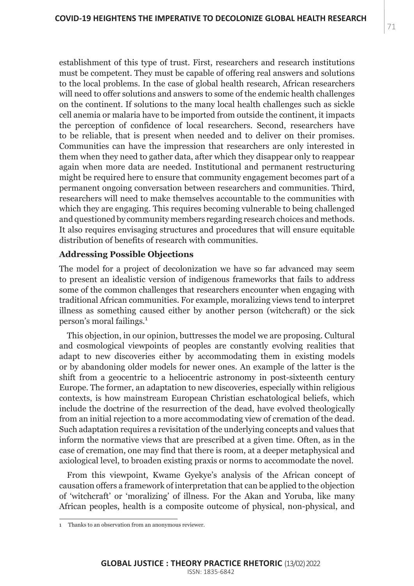establishment of this type of trust. First, researchers and research institutions must be competent. They must be capable of offering real answers and solutions to the local problems. In the case of global health research, African researchers will need to offer solutions and answers to some of the endemic health challenges on the continent. If solutions to the many local health challenges such as sickle cell anemia or malaria have to be imported from outside the continent, it impacts the perception of confidence of local researchers. Second, researchers have to be reliable, that is present when needed and to deliver on their promises. Communities can have the impression that researchers are only interested in them when they need to gather data, after which they disappear only to reappear again when more data are needed. Institutional and permanent restructuring might be required here to ensure that community engagement becomes part of a permanent ongoing conversation between researchers and communities. Third, researchers will need to make themselves accountable to the communities with which they are engaging. This requires becoming vulnerable to being challenged and questioned by community members regarding research choices and methods. It also requires envisaging structures and procedures that will ensure equitable distribution of benefits of research with communities.

# **Addressing Possible Objections**

The model for a project of decolonization we have so far advanced may seem to present an idealistic version of indigenous frameworks that fails to address some of the common challenges that researchers encounter when engaging with traditional African communities. For example, moralizing views tend to interpret illness as something caused either by another person (witchcraft) or the sick person's moral failings.<sup>1</sup>

This objection, in our opinion, buttresses the model we are proposing. Cultural and cosmological viewpoints of peoples are constantly evolving realities that adapt to new discoveries either by accommodating them in existing models or by abandoning older models for newer ones. An example of the latter is the shift from a geocentric to a heliocentric astronomy in post-sixteenth century Europe. The former, an adaptation to new discoveries, especially within religious contexts, is how mainstream European Christian eschatological beliefs, which include the doctrine of the resurrection of the dead, have evolved theologically from an initial rejection to a more accommodating view of cremation of the dead. Such adaptation requires a revisitation of the underlying concepts and values that inform the normative views that are prescribed at a given time. Often, as in the case of cremation, one may find that there is room, at a deeper metaphysical and axiological level, to broaden existing praxis or norms to accommodate the novel.

From this viewpoint, Kwame Gyekye's analysis of the African concept of causation offers a framework of interpretation that can be applied to the objection of 'witchcraft' or 'moralizing' of illness. For the Akan and Yoruba, like many African peoples, health is a composite outcome of physical, non-physical, and

<sup>1</sup> Thanks to an observation from an anonymous reviewer.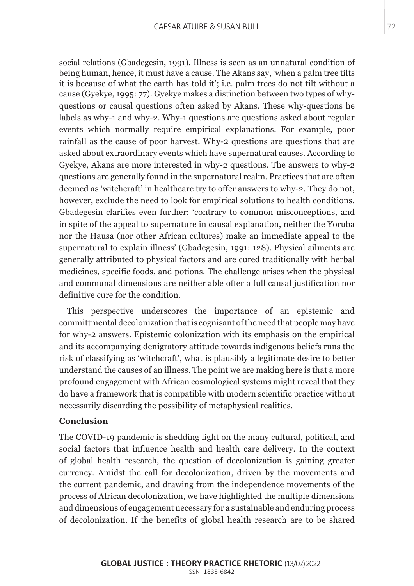social relations (Gbadegesin, 1991). Illness is seen as an unnatural condition of being human, hence, it must have a cause. The Akans say, 'when a palm tree tilts it is because of what the earth has told it'; i.e. palm trees do not tilt without a cause (Gyekye, 1995: 77). Gyekye makes a distinction between two types of whyquestions or causal questions often asked by Akans. These why-questions he labels as why-1 and why-2. Why-1 questions are questions asked about regular events which normally require empirical explanations. For example, poor rainfall as the cause of poor harvest. Why-2 questions are questions that are asked about extraordinary events which have supernatural causes. According to Gyekye, Akans are more interested in why-2 questions. The answers to why-2 questions are generally found in the supernatural realm. Practices that are often deemed as 'witchcraft' in healthcare try to offer answers to why-2. They do not, however, exclude the need to look for empirical solutions to health conditions. Gbadegesin clarifies even further: 'contrary to common misconceptions, and in spite of the appeal to supernature in causal explanation, neither the Yoruba nor the Hausa (nor other African cultures) make an immediate appeal to the supernatural to explain illness' (Gbadegesin, 1991: 128). Physical ailments are generally attributed to physical factors and are cured traditionally with herbal medicines, specific foods, and potions. The challenge arises when the physical and communal dimensions are neither able offer a full causal justification nor definitive cure for the condition.

This perspective underscores the importance of an epistemic and committmental decolonization that is cognisant of the need that people may have for why-2 answers. Epistemic colonization with its emphasis on the empirical and its accompanying denigratory attitude towards indigenous beliefs runs the risk of classifying as 'witchcraft', what is plausibly a legitimate desire to better understand the causes of an illness. The point we are making here is that a more profound engagement with African cosmological systems might reveal that they do have a framework that is compatible with modern scientific practice without necessarily discarding the possibility of metaphysical realities.

# **Conclusion**

The COVID-19 pandemic is shedding light on the many cultural, political, and social factors that influence health and health care delivery. In the context of global health research, the question of decolonization is gaining greater currency. Amidst the call for decolonization, driven by the movements and the current pandemic, and drawing from the independence movements of the process of African decolonization, we have highlighted the multiple dimensions and dimensions of engagement necessary for a sustainable and enduring process of decolonization. If the benefits of global health research are to be shared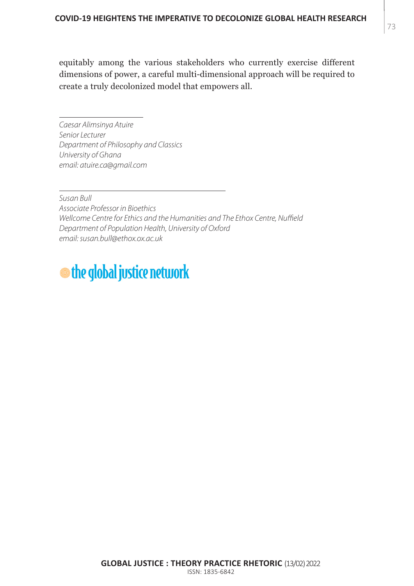equitably among the various stakeholders who currently exercise different dimensions of power, a careful multi-dimensional approach will be required to create a truly decolonized model that empowers all.

*Caesar Alimsinya Atuire Senior Lecturer Department of Philosophy and Classics University of Ghana email: atuire.ca@gmail.com*

*Susan Bull Associate Professor in Bioethics Wellcome Centre for Ethics and the Humanities and The Ethox Centre, Nuffield Department of Population Health, University of Oxford email: susan.bull@ethox.ox.ac.uk*

# **the global justice network**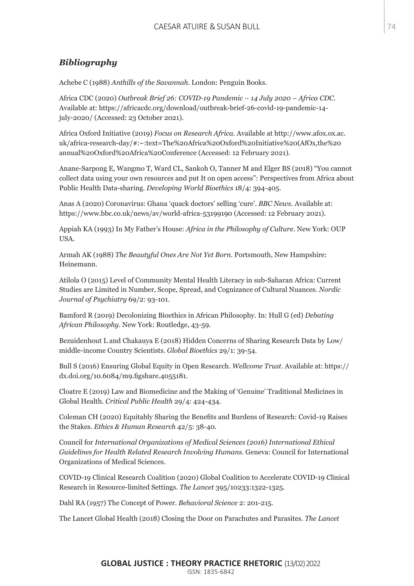# *Bibliography*

Achebe C (1988) *Anthills of the Savannah*. London: Penguin Books.

Africa CDC (2020) *Outbreak Brief 26: COVID-19 Pandemic – 14 July 2020 – Africa CDC*. Available at: https://africacdc.org/download/outbreak-brief-26-covid-19-pandemic-14 july-2020/ (Accessed: 23 October 2021).

Africa Oxford Initiative (2019) *Focus on Research Africa*. Available at http://www.afox.ox.ac. uk/africa-research-day/#:~:text=The%20Africa%20Oxford%20Initiative%20(AfOx,the%20 annual%20Oxford%20Africa%20Conference (Accessed: 12 February 2021).

Anane-Sarpong E, Wangmo T, Ward CL, Sankoh O, Tanner M and Elger BS (2018) "You cannot collect data using your own resources and put It on open access": Perspectives from Africa about Public Health Data-sharing. *Developing World Bioethics* 18/4: 394-405.

Anas A (2020) Coronavirus: Ghana 'quack doctors' selling 'cure'. *BBC News*. Available at: https://www.bbc.co.uk/news/av/world-africa-53199190 (Accessed: 12 February 2021).

Appiah KA (1993) In My Father's House: *Africa in the Philosophy of Culture*. New York: OUP USA.

Armah AK (1988) *The Beautyful Ones Are Not Yet Born*. Portsmouth, New Hampshire: Heinemann.

Atilola O (2015) Level of Community Mental Health Literacy in sub-Saharan Africa: Current Studies are Limited in Number, Scope, Spread, and Cognizance of Cultural Nuances. *Nordic Journal of Psychiatry* 69/2: 93-101.

Bamford R (2019) Decolonizing Bioethics in African Philosophy. In: Hull G (ed) *Debating African Philosophy*. New York: Routledge, 43-59.

Bezuidenhout L and Chakauya E (2018) Hidden Concerns of Sharing Research Data by Low/ middle-income Country Scientists. *Global Bioethics* 29/1: 39-54.

Bull S (2016) Ensuring Global Equity in Open Research. *Wellcome Trust*. Available at: https:// dx.doi.org/10.6084/m9.figshare.4055181.

Cloatre E (2019) Law and Biomedicine and the Making of 'Genuine' Traditional Medicines in Global Health. *Critical Public Health* 29/4: 424-434.

Coleman CH (2020) Equitably Sharing the Benefits and Burdens of Research: Covid-19 Raises the Stakes. *Ethics & Human Research* 42/5: 38-40.

Council for *International Organizations of Medical Sciences (2016) International Ethical Guidelines for Health Related Research Involving Humans*. Geneva: Council for International Organizations of Medical Sciences.

COVID-19 Clinical Research Coalition (2020) Global Coalition to Accelerate COVID-19 Clinical Research in Resource-limited Settings. *The Lancet* 395/10233:1322-1325.

Dahl RA (1957) The Concept of Power. *Behavioral Science* 2: 201-215.

The Lancet Global Health (2018) Closing the Door on Parachutes and Parasites. *The Lancet*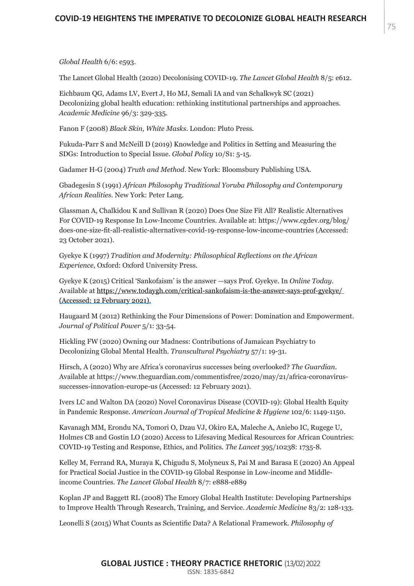*Global Health* 6/6: e593.

The Lancet Global Health (2020) Decolonising COVID-19. *The Lancet Global Health* 8/5: e612.

Eichbaum QG, Adams LV, Evert J, Ho MJ, Semali IA and van Schalkwyk SC (2021) Decolonizing global health education: rethinking institutional partnerships and approaches. *Academic Medicine* 96/3: 329-335.

Fanon F (2008) *Black Skin, White Masks*. London: Pluto Press.

Fukuda-Parr S and McNeill D (2019) Knowledge and Politics in Setting and Measuring the SDGs: Introduction to Special Issue. *Global Policy* 10/S1: 5-15.

Gadamer H-G (2004) *Truth and Method*. New York: Bloomsbury Publishing USA.

Gbadegesin S (1991) *African Philosophy Traditional Yoruba Philosophy and Contemporary African Realities*. New York: Peter Lang.

Glassman A, Chalkidou K and Sullivan R (2020) Does One Size Fit All? Realistic Alternatives For COVID-19 Response In Low-Income Countries. Available at: https://www.cgdev.org/blog/ does-one-size-fit-all-realistic-alternatives-covid-19-response-low-income-countries (Accessed: 23 October 2021).

Gyekye K (1997) *Tradition and Modernity: Philosophical Reflections on the African Experience*, Oxford: Oxford University Press.

Gyekye K (2015) Critical 'Sankofaism' is the answer —says Prof. Gyekye. In *Online Today*. Available at https://www.todaygh.com/critical-sankofaism-is-the-answer-says-prof-gyekye/ (Accessed: 12 February 2021).

Haugaard M (2012) Rethinking the Four Dimensions of Power: Domination and Empowerment. *Journal of Political Power* 5/1: 33-54.

Hickling FW (2020) Owning our Madness: Contributions of Jamaican Psychiatry to Decolonizing Global Mental Health. *Transcultural Psychiatry* 57/1: 19-31.

Hirsch, A (2020) Why are Africa's coronavirus successes being overlooked? *The Guardian*. Available at https://www.theguardian.com/commentisfree/2020/may/21/africa-coronavirussuccesses-innovation-europe-us (Accessed: 12 February 2021).

Ivers LC and Walton DA (2020) Novel Coronavirus Disease (COVID-19): Global Health Equity in Pandemic Response. *American Journal of Tropical Medicine & Hygiene* 102/6: 1149-1150.

Kavanagh MM, Erondu NA, Tomori O, Dzau VJ, Okiro EA, Maleche A, Aniebo IC, Rugege U, Holmes CB and Gostin LO (2020) Access to Lifesaving Medical Resources for African Countries: COVID-19 Testing and Response, Ethics, and Politics. *The Lancet* 395/10238: 1735-8.

Kelley M, Ferrand RA, Muraya K, Chigudu S, Molyneux S, Pai M and Barasa E (2020) An Appeal for Practical Social Justice in the COVID-19 Global Response in Low-income and Middleincome Countries. *The Lancet Global Health* 8/7: e888-e889

Koplan JP and Baggett RL (2008) The Emory Global Health Institute: Developing Partnerships to Improve Health Through Research, Training, and Service. *Academic Medicine* 83/2: 128-133.

Leonelli S (2015) What Counts as Scientific Data? A Relational Framework. *Philosophy of*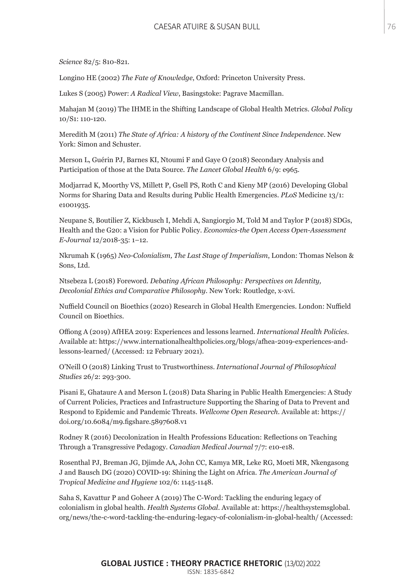*Science* 82/5: 810-821.

Longino HE (2002) *The Fate of Knowledge*, Oxford: Princeton University Press.

Lukes S (2005) Power: *A Radical View*, Basingstoke: Pagrave Macmillan.

Mahajan M (2019) The IHME in the Shifting Landscape of Global Health Metrics. *Global Policy* 10/S1: 110-120.

Meredith M (2011) *The State of Africa: A history of the Continent Since Independence*. New York: Simon and Schuster.

Merson L, Guérin PJ, Barnes KI, Ntoumi F and Gaye O (2018) Secondary Analysis and Participation of those at the Data Source. *The Lancet Global Health* 6/9: e965.

Modjarrad K, Moorthy VS, Millett P, Gsell PS, Roth C and Kieny MP (2016) Developing Global Norms for Sharing Data and Results during Public Health Emergencies. *PLoS* Medicine 13/1: e1001935.

Neupane S, Boutilier Z, Kickbusch I, Mehdi A, Sangiorgio M, Told M and Taylor P (2018) SDGs, Health and the G20: a Vision for Public Policy. *Economics-the Open Access Open-Assessment E-Journal* 12/2018-35: 1–12.

Nkrumah K (1965) *Neo-Colonialism, The Last Stage of Imperialism*, London: Thomas Nelson & Sons, Ltd.

Ntsebeza L (2018) Foreword. *Debating African Philosophy: Perspectives on Identity, Decolonial Ethics and Comparative Philosophy*. New York: Routledge, x-xvi.

Nuffield Council on Bioethics (2020) Research in Global Health Emergencies. London: Nuffield Council on Bioethics.

Offiong A (2019) AfHEA 2019: Experiences and lessons learned. *International Health Policies*. Available at: https://www.internationalhealthpolicies.org/blogs/afhea-2019-experiences-andlessons-learned/ (Accessed: 12 February 2021).

O'Neill O (2018) Linking Trust to Trustworthiness. *International Journal of Philosophical Studies* 26/2: 293-300.

Pisani E, Ghataure A and Merson L (2018) Data Sharing in Public Health Emergencies: A Study of Current Policies, Practices and Infrastructure Supporting the Sharing of Data to Prevent and Respond to Epidemic and Pandemic Threats. *Wellcome Open Research*. Available at: https:// doi.org/10.6084/m9.figshare.5897608.v1

Rodney R (2016) Decolonization in Health Professions Education: Reflections on Teaching Through a Transgressive Pedagogy. *Canadian Medical Journal* 7/7: e10-e18.

Rosenthal PJ, Breman JG, Djimde AA, John CC, Kamya MR, Leke RG, Moeti MR, Nkengasong J and Bausch DG (2020) COVID-19: Shining the Light on Africa. *The American Journal of Tropical Medicine and Hygiene* 102/6: 1145-1148.

Saha S, Kavattur P and Goheer A (2019) The C-Word: Tackling the enduring legacy of colonialism in global health. *Health Systems Global*. Available at: https://healthsystemsglobal. org/news/the-c-word-tackling-the-enduring-legacy-of-colonialism-in-global-health/ (Accessed: